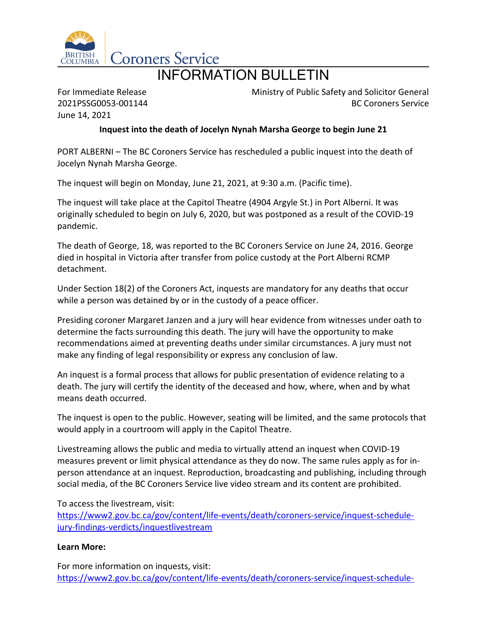

# INFORMATION BULLETIN

For Immediate Release 2021PSSG0053-001144 June 14, 2021

Ministry of Public Safety and Solicitor General BC Coroners Service

## **Inquest into the death of Jocelyn Nynah Marsha George to begin June 21**

PORT ALBERNI – The BC Coroners Service has rescheduled a public inquest into the death of Jocelyn Nynah Marsha George.

The inquest will begin on Monday, June 21, 2021, at 9:30 a.m. (Pacific time).

The inquest will take place at the Capitol Theatre (4904 Argyle St.) in Port Alberni. It was originally scheduled to begin on July 6, 2020, but was postponed as a result of the COVID-19 pandemic.

The death of George, 18, was reported to the BC Coroners Service on June 24, 2016. George died in hospital in Victoria after transfer from police custody at the Port Alberni RCMP detachment.

Under Section 18(2) of the Coroners Act, inquests are mandatory for any deaths that occur while a person was detained by or in the custody of a peace officer.

Presiding coroner Margaret Janzen and a jury will hear evidence from witnesses under oath to determine the facts surrounding this death. The jury will have the opportunity to make recommendations aimed at preventing deaths under similar circumstances. A jury must not make any finding of legal responsibility or express any conclusion of law.

An inquest is a formal process that allows for public presentation of evidence relating to a death. The jury will certify the identity of the deceased and how, where, when and by what means death occurred.

The inquest is open to the public. However, seating will be limited, and the same protocols that would apply in a courtroom will apply in the Capitol Theatre.

Livestreaming allows the public and media to virtually attend an inquest when COVID-19 measures prevent or limit physical attendance as they do now. The same rules apply as for inperson attendance at an inquest. Reproduction, broadcasting and publishing, including through social media, of the BC Coroners Service live video stream and its content are prohibited.

To access the livestream, visit:

[https://www2.gov.bc.ca/gov/content/life-events/death/coroners-service/inquest-schedule](https://www2.gov.bc.ca/gov/content/life-events/death/coroners-service/inquest-schedule-jury-findings-verdicts/inquestlivestream)[jury-findings-verdicts/inquestlivestream](https://www2.gov.bc.ca/gov/content/life-events/death/coroners-service/inquest-schedule-jury-findings-verdicts/inquestlivestream)

#### **Learn More:**

For more information on inquests, visit: [https://www2.gov.bc.ca/gov/content/life-events/death/coroners-service/inquest-schedule-](https://www2.gov.bc.ca/gov/content/life-events/death/coroners-service/inquest-schedule-jury-findings-verdicts)